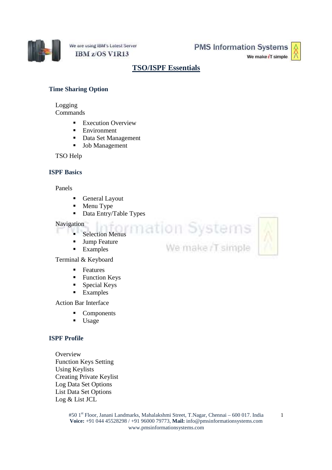



# **TSO/ISPF Essentials**

# **Time Sharing Option**

Logging Commands

- **Execution Overview**
- Environment
- Data Set Management
- Job Management

TSO Help

## **ISPF Basics**

#### Panels

- General Layout
- Menu Type
- Data Entry/Table Types

Navigation

- ation<br>• Selection Menus<br>• Iuma Eccture
- **Jump Feature**
- **Examples**

Terminal & Keyboard

- **Features**
- **Function Keys**
- **Special Keys**
- **Examples**

Action Bar Interface

- Components
- **Usage**

# **ISPF Profile**

**Overview** Function Keys Setting Using Keylists Creating Private Keylist Log Data Set Options List Data Set Options Log & List JCL

We make /T simple

1